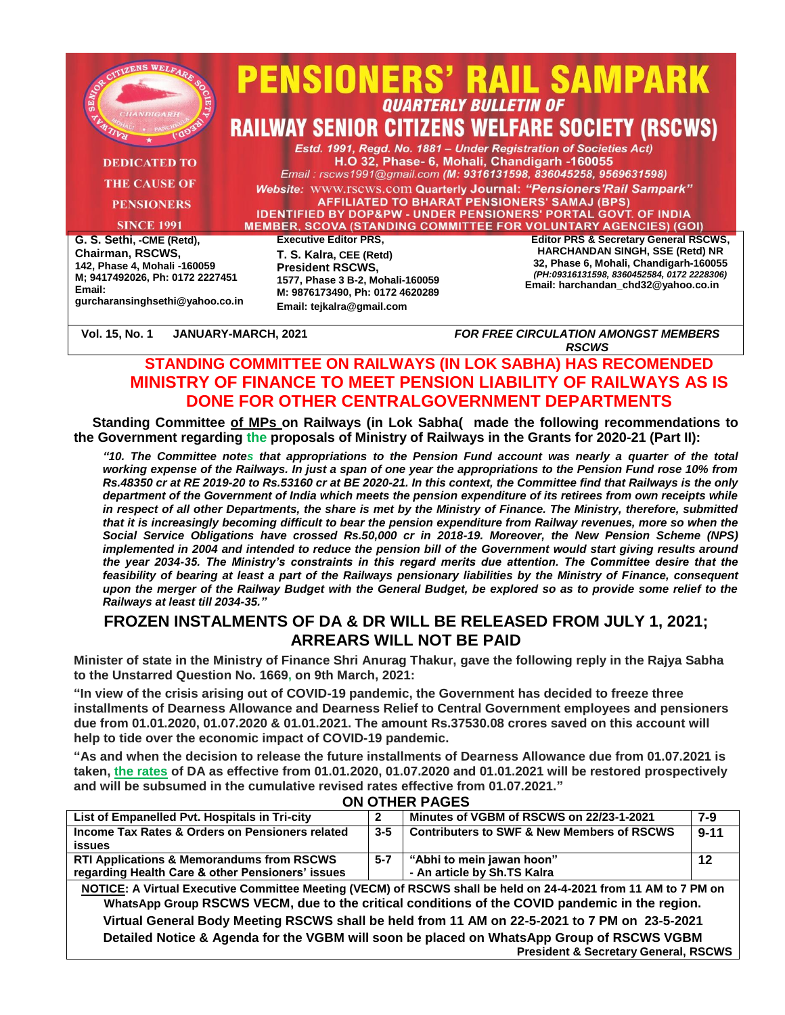| <b>CHANDIGARE</b><br>HALI . PANCHK                                                                                                                            | PENSIONERS' RAIL SAMPARK<br><b>QUARTERLY BULLETIN OF</b><br><b>RAILWAY SENIOR CITIZENS WELFARE SOCIETY (RSCWS)</b>                                                                                                                                                                                                                                                                                                                                                                 |                                                                                                                                                                                                                           |
|---------------------------------------------------------------------------------------------------------------------------------------------------------------|------------------------------------------------------------------------------------------------------------------------------------------------------------------------------------------------------------------------------------------------------------------------------------------------------------------------------------------------------------------------------------------------------------------------------------------------------------------------------------|---------------------------------------------------------------------------------------------------------------------------------------------------------------------------------------------------------------------------|
| <b>DEDICATED TO</b><br><b>THE CAUSE OF</b><br><b>PENSIONERS</b><br><b>SINCE 1991</b>                                                                          | Estd. 1991, Regd. No. 1881 - Under Registration of Societies Act)<br>H.O 32, Phase- 6, Mohali, Chandigarh -160055<br>Email: rscws1991@gmail.com (M: 9316131598, 836045258, 9569631598)<br><b>Website: WWW.rscws.com Quarterly Journal: "Pensioners'Rail Sampark"</b><br><b>AFFILIATED TO BHARAT PENSIONERS' SAMAJ (BPS)</b><br><b>IDENTIFIED BY DOP&amp;PW - UNDER PENSIONERS' PORTAL GOVT. OF INDIA</b><br><b>MEMBER, SCOVA (STANDING COMMITTEE FOR VOLUNTARY AGENCIES) (GOI)</b> |                                                                                                                                                                                                                           |
| G. S. Sethi, -CME (Retd),<br>Chairman, RSCWS,<br>142, Phase 4, Mohali -160059<br>M; 9417492026, Ph: 0172 2227451<br>Email:<br>gurcharansinghsethi@yahoo.co.in | <b>Executive Editor PRS.</b><br>T. S. Kalra, CEE (Retd)<br><b>President RSCWS,</b><br>1577, Phase 3 B-2, Mohali-160059<br>M: 9876173490, Ph: 0172 4620289<br>Email: tejkalra@gmail.com                                                                                                                                                                                                                                                                                             | <b>Editor PRS &amp; Secretary General RSCWS,</b><br><b>HARCHANDAN SINGH, SSE (Retd) NR</b><br>32, Phase 6, Mohali, Chandigarh-160055<br>(PH:09316131598, 8360452584, 0172 2228306)<br>Email: harchandan chd32@yahoo.co.in |

**Vol. 15, No. 1 JANUARY-MARCH, 2021** *FOR FREE CIRCULATION AMONGST MEMBERS RSCWS*

### **STANDING COMMITTEE ON RAILWAYS (IN LOK SABHA) HAS RECOMENDED MINISTRY OF FINANCE TO MEET PENSION LIABILITY OF RAILWAYS AS IS DONE FOR OTHER CENTRALGOVERNMENT DEPARTMENTS**

 **Standing Committee of MPs on Railways (in Lok Sabha( made the following recommendations to the Government regarding the proposals of Ministry of Railways in the Grants for 2020-21 (Part II):** 

*"10. The Committee notes that appropriations to the Pension Fund account was nearly a quarter of the total working expense of the Railways. In just a span of one year the appropriations to the Pension Fund rose 10% from Rs.48350 cr at RE 2019-20 to Rs.53160 cr at BE 2020-21. In this context, the Committee find that Railways is the only department of the Government of India which meets the pension expenditure of its retirees from own receipts while in respect of all other Departments, the share is met by the Ministry of Finance. The Ministry, therefore, submitted that it is increasingly becoming difficult to bear the pension expenditure from Railway revenues, more so when the Social Service Obligations have crossed Rs.50,000 cr in 2018-19. Moreover, the New Pension Scheme (NPS) implemented in 2004 and intended to reduce the pension bill of the Government would start giving results around the year 2034-35. The Ministry's constraints in this regard merits due attention. The Committee desire that the feasibility of bearing at least a part of the Railways pensionary liabilities by the Ministry of Finance, consequent upon the merger of the Railway Budget with the General Budget, be explored so as to provide some relief to the Railways at least till 2034-35."*

### **FROZEN INSTALMENTS OF DA & DR WILL BE RELEASED FROM JULY 1, 2021; ARREARS WILL NOT BE PAID**

**Minister of state in the Ministry of Finance Shri Anurag Thakur, gave the following reply in the Rajya Sabha to the Unstarred Question No. 1669, on 9th March, 2021:** 

**"In view of the crisis arising out of COVID-19 pandemic, the Government has decided to freeze three installments of Dearness Allowance and Dearness Relief to Central Government employees and pensioners due from 01.01.2020, 01.07.2020 & 01.01.2021. The amount Rs.37530.08 crores saved on this account will help to tide over the economic impact of COVID-19 pandemic.** 

**"As and when the decision to release the future installments of Dearness Allowance due from 01.07.2021 is taken, the rates of DA as effective from 01.01.2020, 01.07.2020 and 01.01.2021 will be restored prospectively and will be subsumed in the cumulative revised rates effective from 01.07.2021."**

| List of Empanelled Pvt. Hospitals in Tri-city                                                                  | $\mathbf{2}$ | Minutes of VGBM of RSCWS on 22/23-1-2021              | $7 - 9$  |  |  |
|----------------------------------------------------------------------------------------------------------------|--------------|-------------------------------------------------------|----------|--|--|
| Income Tax Rates & Orders on Pensioners related                                                                | $3 - 5$      | <b>Contributers to SWF &amp; New Members of RSCWS</b> | $9 - 11$ |  |  |
| <b>issues</b>                                                                                                  |              |                                                       |          |  |  |
| RTI Applications & Memorandums from RSCWS                                                                      | $5 - 7$      | "Abhi to mein jawan hoon"                             | 12       |  |  |
| regarding Health Care & other Pensioners' issues                                                               |              | - An article by Sh.TS Kalra                           |          |  |  |
| NOTICE: A Virtual Executive Committee Meeting (VECM) of RSCWS shall be held on 24-4-2021 from 11 AM to 7 PM on |              |                                                       |          |  |  |
| WhatsApp Group RSCWS VECM, due to the critical conditions of the COVID pandemic in the region.                 |              |                                                       |          |  |  |
| Virtual General Body Meeting RSCWS shall be held from 11 AM on 22-5-2021 to 7 PM on 23-5-2021                  |              |                                                       |          |  |  |
| Detailed Notice & Agenda for the VGBM will soon be placed on WhatsApp Group of RSCWS VGBM                      |              |                                                       |          |  |  |
| <b>President &amp; Secretary General, RSCWS</b>                                                                |              |                                                       |          |  |  |

#### **ON OTHER PAGES**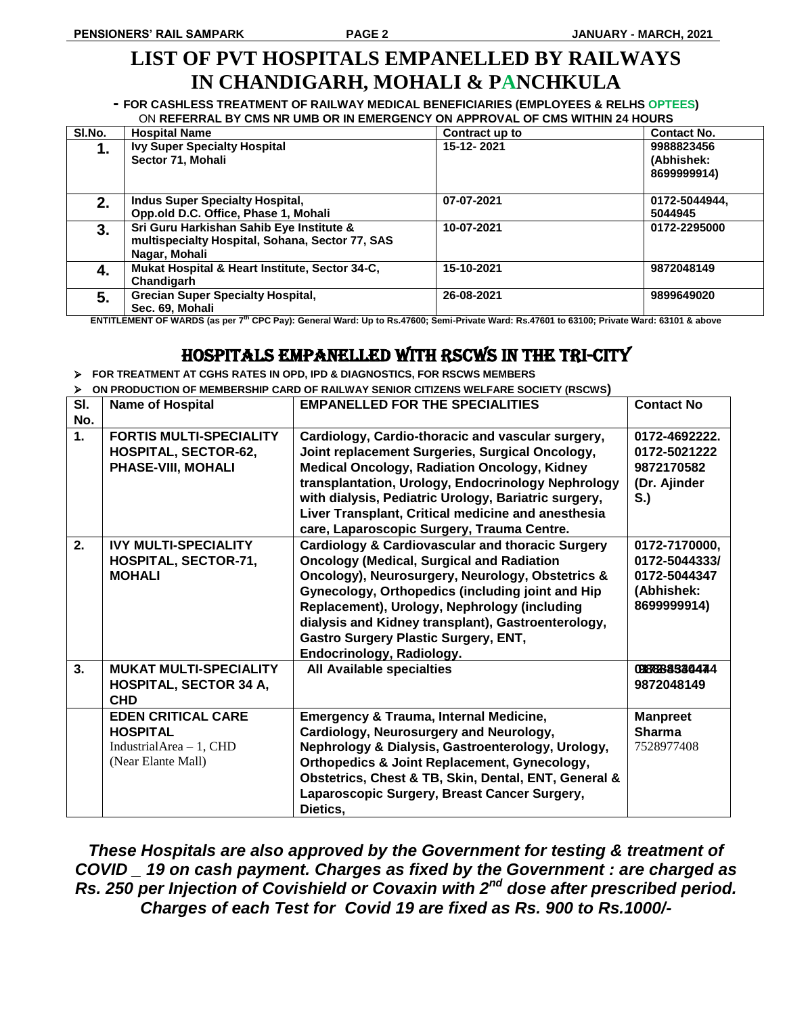## **LIST OF PVT HOSPITALS EMPANELLED BY RAILWAYS IN CHANDIGARH, MOHALI & PANCHKULA**

**- FOR CASHLESS TREATMENT OF RAILWAY MEDICAL BENEFICIARIES (EMPLOYEES & RELHS OPTEES)** ON **REFERRAL BY CMS NR UMB OR IN EMERGENCY ON APPROVAL OF CMS WITHIN 24 HOURS**

| SI.No. | <b>Hospital Name</b>                                                                                         | Contract up to | <b>Contact No.</b>                      |
|--------|--------------------------------------------------------------------------------------------------------------|----------------|-----------------------------------------|
| 1.     | <b>Ivy Super Specialty Hospital</b><br>Sector 71, Mohali                                                     | 15-12-2021     | 9988823456<br>(Abhishek:<br>8699999914) |
| 2.     | Indus Super Specialty Hospital,<br>Opp.old D.C. Office, Phase 1, Mohali                                      | 07-07-2021     | 0172-5044944,<br>5044945                |
| 3.     | Sri Guru Harkishan Sahib Eye Institute &<br>multispecialty Hospital, Sohana, Sector 77, SAS<br>Nagar, Mohali | 10-07-2021     | 0172-2295000                            |
| 4.     | Mukat Hospital & Heart Institute, Sector 34-C,<br><b>Chandigarh</b>                                          | 15-10-2021     | 9872048149                              |
| 5.     | <b>Grecian Super Specialty Hospital,</b><br>Sec. 69. Mohali                                                  | 26-08-2021     | 9899649020                              |

**ENTITLEMENT OF WARDS (as per 7th CPC Pay): General Ward: Up to Rs.47600; Semi-Private Ward: Rs.47601 to 63100; Private Ward: 63101 & above**

### HOSPITALS EMPANELLED WITH RSCWS IN THE TRI-CITY

**FOR TREATMENT AT CGHS RATES IN OPD, IPD & DIAGNOSTICS, FOR RSCWS MEMBERS** 

**ON PRODUCTION OF MEMBERSHIP CARD OF RAILWAY SENIOR CITIZENS WELFARE SOCIETY (RSCWS)** 

| SI.<br>No. | <b>Name of Hospital</b>                                                                           | <b>EMPANELLED FOR THE SPECIALITIES</b>                                                                                                                                                                                                                                                                                                                                                                    | <b>Contact No</b>                                                           |
|------------|---------------------------------------------------------------------------------------------------|-----------------------------------------------------------------------------------------------------------------------------------------------------------------------------------------------------------------------------------------------------------------------------------------------------------------------------------------------------------------------------------------------------------|-----------------------------------------------------------------------------|
| 1.         | <b>FORTIS MULTI-SPECIALITY</b><br><b>HOSPITAL, SECTOR-62,</b><br><b>PHASE-VIII, MOHALI</b>        | Cardiology, Cardio-thoracic and vascular surgery,<br>Joint replacement Surgeries, Surgical Oncology,<br><b>Medical Oncology, Radiation Oncology, Kidney</b><br>transplantation, Urology, Endocrinology Nephrology<br>with dialysis, Pediatric Urology, Bariatric surgery,<br>Liver Transplant, Critical medicine and anesthesia<br>care, Laparoscopic Surgery, Trauma Centre.                             | 0172-4692222.<br>0172-5021222<br>9872170582<br>(Dr. Ajinder<br>S.           |
| 2.         | <b>IVY MULTI-SPECIALITY</b><br><b>HOSPITAL, SECTOR-71,</b><br><b>MOHALI</b>                       | <b>Cardiology &amp; Cardiovascular and thoracic Surgery</b><br><b>Oncology (Medical, Surgical and Radiation</b><br>Oncology), Neurosurgery, Neurology, Obstetrics &<br>Gynecology, Orthopedics (including joint and Hip<br>Replacement), Urology, Nephrology (including<br>dialysis and Kidney transplant), Gastroenterology,<br><b>Gastro Surgery Plastic Surgery, ENT,</b><br>Endocrinology, Radiology. | 0172-7170000,<br>0172-5044333/<br>0172-5044347<br>(Abhishek:<br>8699999914) |
| 3.         | <b>MUKAT MULTI-SPECIALITY</b><br><b>HOSPITAL, SECTOR 34 A,</b><br><b>CHD</b>                      | <b>All Available specialties</b>                                                                                                                                                                                                                                                                                                                                                                          | 098888330474<br>9872048149                                                  |
|            | <b>EDEN CRITICAL CARE</b><br><b>HOSPITAL</b><br>Industrial $Area - 1$ , CHD<br>(Near Elante Mall) | <b>Emergency &amp; Trauma, Internal Medicine,</b><br>Cardiology, Neurosurgery and Neurology,<br>Nephrology & Dialysis, Gastroenterology, Urology,<br><b>Orthopedics &amp; Joint Replacement, Gynecology,</b><br>Obstetrics, Chest & TB, Skin, Dental, ENT, General &<br>Laparoscopic Surgery, Breast Cancer Surgery,<br>Dietics,                                                                          | <b>Manpreet</b><br><b>Sharma</b><br>7528977408                              |

*These Hospitals are also approved by the Government for testing & treatment of COVID \_ 19 on cash payment. Charges as fixed by the Government : are charged as*  **Rs. 250 per Injection of Covishield or Covaxin with 2<sup>nd</sup> dose after prescribed period.** *Charges of each Test for Covid 19 are fixed as Rs. 900 to Rs.1000/-*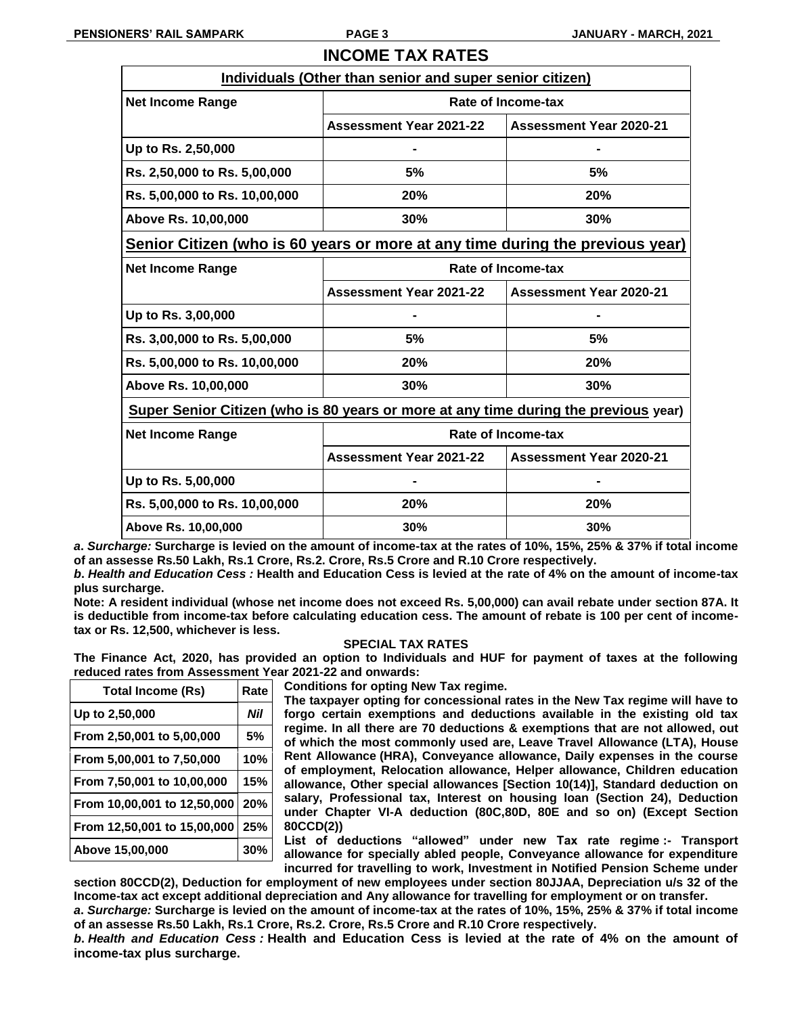### **INCOME TAX RATES**

| Individuals (Other than senior and super senior citizen)                             |                                |                                |  |  |  |  |
|--------------------------------------------------------------------------------------|--------------------------------|--------------------------------|--|--|--|--|
| <b>Net Income Range</b>                                                              | Rate of Income-tax             |                                |  |  |  |  |
|                                                                                      | <b>Assessment Year 2021-22</b> | <b>Assessment Year 2020-21</b> |  |  |  |  |
| Up to Rs. 2,50,000                                                                   |                                |                                |  |  |  |  |
| Rs. 2,50,000 to Rs. 5,00,000                                                         | 5%                             | 5%                             |  |  |  |  |
| Rs. 5,00,000 to Rs. 10,00,000                                                        | 20%                            | 20%                            |  |  |  |  |
| Above Rs. 10,00,000                                                                  | 30%<br>30%                     |                                |  |  |  |  |
| <u>Senior Citizen (who is 60 years or more at any time during the previous year)</u> |                                |                                |  |  |  |  |
| <b>Net Income Range</b>                                                              | Rate of Income-tax             |                                |  |  |  |  |
|                                                                                      | <b>Assessment Year 2021-22</b> | <b>Assessment Year 2020-21</b> |  |  |  |  |
| Up to Rs. 3,00,000                                                                   |                                |                                |  |  |  |  |
| Rs. 3,00,000 to Rs. 5,00,000                                                         | 5%                             | 5%                             |  |  |  |  |
| Rs. 5,00,000 to Rs. 10,00,000                                                        | 20%                            | 20%                            |  |  |  |  |
| Above Rs. 10,00,000                                                                  | 30%                            | 30%                            |  |  |  |  |
| Super Senior Citizen (who is 80 years or more at any time during the previous year)  |                                |                                |  |  |  |  |
| <b>Net Income Range</b>                                                              |                                | Rate of Income-tax             |  |  |  |  |
|                                                                                      | <b>Assessment Year 2021-22</b> | <b>Assessment Year 2020-21</b> |  |  |  |  |
| Up to Rs. 5,00,000                                                                   |                                |                                |  |  |  |  |
| Rs. 5,00,000 to Rs. 10,00,000                                                        | 20%                            | 20%                            |  |  |  |  |
| Above Rs. 10,00,000                                                                  | 30%                            | 30%                            |  |  |  |  |
|                                                                                      |                                |                                |  |  |  |  |

*a***.** *Surcharge:* **Surcharge is levied on the amount of income-tax at the rates of 10%, 15%, 25% & 37% if total income of an assesse Rs.50 Lakh, Rs.1 Crore, Rs.2. Crore, Rs.5 Crore and R.10 Crore respectively.** 

*b***.** *Health and Education Cess :* **Health and Education Cess is levied at the rate of 4% on the amount of income-tax plus surcharge.**

**Note: A resident individual (whose net income does not exceed Rs. 5,00,000) can avail rebate under section 87A. It is deductible from income-tax before calculating education cess. The amount of rebate is 100 per cent of incometax or Rs. 12,500, whichever is less.**

#### **SPECIAL TAX RATES**

**The Finance Act, 2020, has provided an option to Individuals and HUF for payment of taxes at the following reduced rates from Assessment Year 2021-22 and onwards:**

| <b>Total Income (Rs)</b>    | Rate |
|-----------------------------|------|
| Up to 2,50,000              | Nil  |
| From 2,50,001 to 5,00,000   | 5%   |
| From 5,00,001 to 7,50,000   | 10%  |
| From 7,50,001 to 10,00,000  | 15%  |
| From 10,00,001 to 12,50,000 | 20%  |
| From 12,50,001 to 15,00,000 | 25%  |
| Above 15,00,000             | 30%  |

**Conditions for opting New Tax regime.**

**The taxpayer opting for concessional rates in the New Tax regime will have to forgo certain exemptions and deductions available in the existing old tax regime. In all there are 70 deductions & exemptions that are not allowed, out of which the most commonly used are, Leave Travel Allowance (LTA), House Rent Allowance (HRA), Conveyance allowance, Daily expenses in the course of employment, Relocation allowance, Helper allowance, Children education allowance, Other special allowances [Section 10(14)], Standard deduction on salary, Professional tax, Interest on housing loan (Section 24), Deduction under Chapter VI-A deduction (80C,80D, 80E and so on) (Except Section 80CCD(2))**

**List of deductions "allowed" under new Tax rate regime :- Transport allowance for specially abled people, Conveyance allowance for expenditure incurred for travelling to work, Investment in Notified Pension Scheme under** 

**section 80CCD(2), Deduction for employment of new employees under section 80JJAA, Depreciation u/s 32 of the Income-tax act except additional depreciation and Any allowance for travelling for employment or on transfer.**

*a***.** *Surcharge:* **Surcharge is levied on the amount of income-tax at the rates of 10%, 15%, 25% & 37% if total income of an assesse Rs.50 Lakh, Rs.1 Crore, Rs.2. Crore, Rs.5 Crore and R.10 Crore respectively.** 

*b***.** *Health and Education Cess :* **Health and Education Cess is levied at the rate of 4% on the amount of income-tax plus surcharge.**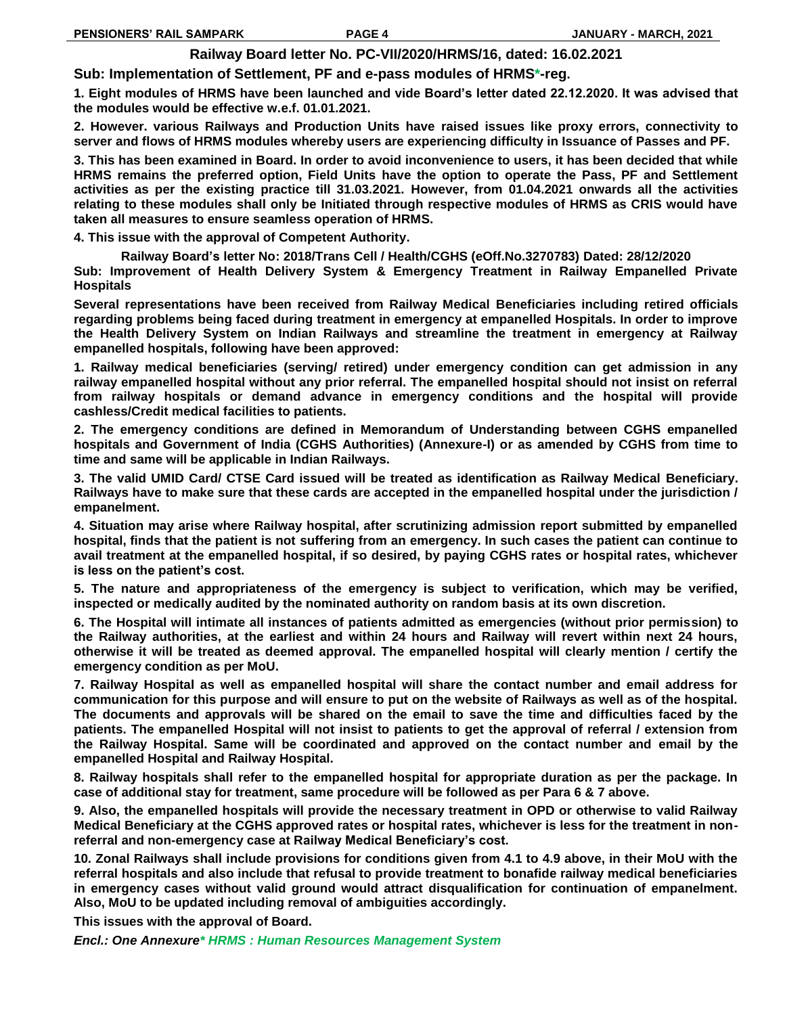#### **Railway Board letter No. PC-VII/2020/HRMS/16, dated: 16.02.2021**

**Sub: Implementation of Settlement, PF and e-pass modules of HRMS\*-reg.**

**1. Eight modules of HRMS have been launched and vide Board"s letter dated 22.12.2020. It was advised that the modules would be effective w.e.f. 01.01.2021.**

**2. However. various Railways and Production Units have raised issues like proxy errors, connectivity to server and flows of HRMS modules whereby users are experiencing difficulty in Issuance of Passes and PF.**

**3. This has been examined in Board. In order to avoid inconvenience to users, it has been decided that while HRMS remains the preferred option, Field Units have the option to operate the Pass, PF and Settlement activities as per the existing practice till 31.03.2021. However, from 01.04.2021 onwards all the activities relating to these modules shall only be Initiated through respective modules of HRMS as CRIS would have taken all measures to ensure seamless operation of HRMS.**

**4. This issue with the approval of Competent Authority.**

**Railway Board"s letter No: 2018/Trans Cell / Health/CGHS (eOff.No.3270783) Dated: 28/12/2020 Sub: Improvement of Health Delivery System & Emergency Treatment in Railway Empanelled Private Hospitals**

**Several representations have been received from Railway Medical Beneficiaries including retired officials regarding problems being faced during treatment in emergency at empanelled Hospitals. In order to improve the Health Delivery System on Indian Railways and streamline the treatment in emergency at Railway empanelled hospitals, following have been approved:**

**1. Railway medical beneficiaries (serving/ retired) under emergency condition can get admission in any railway empanelled hospital without any prior referral. The empanelled hospital should not insist on referral from railway hospitals or demand advance in emergency conditions and the hospital will provide cashless/Credit medical facilities to patients.**

**2. The emergency conditions are defined in Memorandum of Understanding between CGHS empanelled hospitals and Government of India (CGHS Authorities) (Annexure-I) or as amended by CGHS from time to time and same will be applicable in Indian Railways.**

**3. The valid UMID Card/ CTSE Card issued will be treated as identification as Railway Medical Beneficiary. Railways have to make sure that these cards are accepted in the empanelled hospital under the jurisdiction / empanelment.**

**4. Situation may arise where Railway hospital, after scrutinizing admission report submitted by empanelled hospital, finds that the patient is not suffering from an emergency. In such cases the patient can continue to avail treatment at the empanelled hospital, if so desired, by paying CGHS rates or hospital rates, whichever is less on the patient"s cost.**

**5. The nature and appropriateness of the emergency is subject to verification, which may be verified, inspected or medically audited by the nominated authority on random basis at its own discretion.**

**6. The Hospital will intimate all instances of patients admitted as emergencies (without prior permission) to the Railway authorities, at the earliest and within 24 hours and Railway will revert within next 24 hours, otherwise it will be treated as deemed approval. The empanelled hospital will clearly mention / certify the emergency condition as per MoU.**

**7. Railway Hospital as well as empanelled hospital will share the contact number and email address for communication for this purpose and will ensure to put on the website of Railways as well as of the hospital. The documents and approvals will be shared on the email to save the time and difficulties faced by the patients. The empanelled Hospital will not insist to patients to get the approval of referral / extension from the Railway Hospital. Same will be coordinated and approved on the contact number and email by the empanelled Hospital and Railway Hospital.**

**8. Railway hospitals shall refer to the empanelled hospital for appropriate duration as per the package. In case of additional stay for treatment, same procedure will be followed as per Para 6 & 7 above.**

**9. Also, the empanelled hospitals will provide the necessary treatment in OPD or otherwise to valid Railway Medical Beneficiary at the CGHS approved rates or hospital rates, whichever is less for the treatment in nonreferral and non-emergency case at Railway Medical Beneficiary"s cost.**

**10. Zonal Railways shall include provisions for conditions given from 4.1 to 4.9 above, in their MoU with the referral hospitals and also include that refusal to provide treatment to bonafide railway medical beneficiaries in emergency cases without valid ground would attract disqualification for continuation of empanelment. Also, MoU to be updated including removal of ambiguities accordingly.**

**This issues with the approval of Board.**

*Encl.: One Annexure\* HRMS : Human Resources Management System*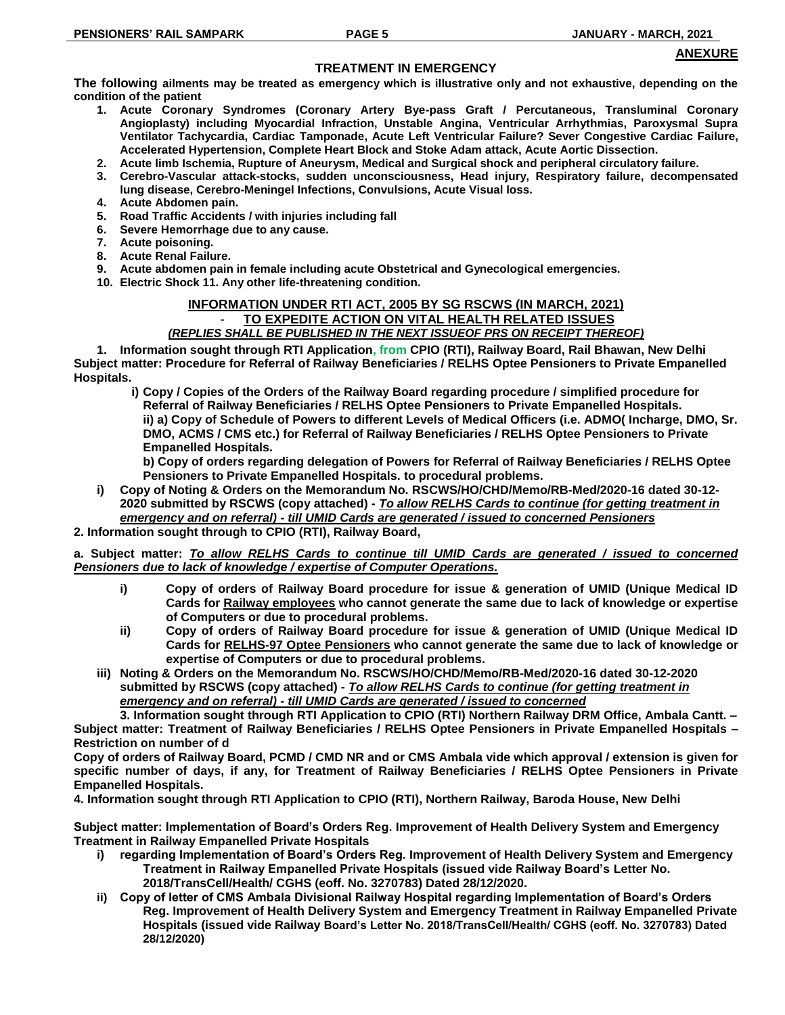#### **ANEXURE**

#### **TREATMENT IN EMERGENCY**

**The following ailments may be treated as emergency which is illustrative only and not exhaustive, depending on the condition of the patient**

- **1. Acute Coronary Syndromes (Coronary Artery Bye-pass Graft / Percutaneous, Transluminal Coronary Angioplasty) including Myocardial Infraction, Unstable Angina, Ventricular Arrhythmias, Paroxysmal Supra Ventilator Tachycardia, Cardiac Tamponade, Acute Left Ventricular Failure? Sever Congestive Cardiac Failure, Accelerated Hypertension, Complete Heart Block and Stoke Adam attack, Acute Aortic Dissection.**
- **2. Acute limb Ischemia, Rupture of Aneurysm, Medical and Surgical shock and peripheral circulatory failure.**
- **3. Cerebro-Vascular attack-stocks, sudden unconsciousness, Head injury, Respiratory failure, decompensated lung disease, Cerebro-Meningel Infections, Convulsions, Acute Visual loss.**
- **4. Acute Abdomen pain.**
- **5. Road Traffic Accidents / with injuries including fall**
- **6. Severe Hemorrhage due to any cause.**
- **7. Acute poisoning.**
- **8. Acute Renal Failure.**
- **9. Acute abdomen pain in female including acute Obstetrical and Gynecological emergencies.**
- **10. Electric Shock 11. Any other life-threatening condition.**

#### **INFORMATION UNDER RTI ACT, 2005 BY SG RSCWS (IN MARCH, 2021) TO EXPEDITE ACTION ON VITAL HEALTH RELATED ISSUES** *(REPLIES SHALL BE PUBLISHED IN THE NEXT ISSUEOF PRS ON RECEIPT THEREOF)*

**1. Information sought through RTI Application, from CPIO (RTI), Railway Board, Rail Bhawan, New Delhi Subject matter: Procedure for Referral of Railway Beneficiaries / RELHS Optee Pensioners to Private Empanelled Hospitals.**

**i) Copy / Copies of the Orders of the Railway Board regarding procedure / simplified procedure for Referral of Railway Beneficiaries / RELHS Optee Pensioners to Private Empanelled Hospitals. ii) a) Copy of Schedule of Powers to different Levels of Medical Officers (i.e. ADMO( Incharge, DMO, Sr. DMO, ACMS / CMS etc.) for Referral of Railway Beneficiaries / RELHS Optee Pensioners to Private Empanelled Hospitals.**

**b) Copy of orders regarding delegation of Powers for Referral of Railway Beneficiaries / RELHS Optee Pensioners to Private Empanelled Hospitals. to procedural problems.** 

- **i) Copy of Noting & Orders on the Memorandum No. RSCWS/HO/CHD/Memo/RB-Med/2020-16 dated 30-12- 2020 submitted by RSCWS (copy attached) -** *To allow RELHS Cards to continue (for getting treatment in emergency and on referral) - till UMID Cards are generated / issued to concerned Pensioners*
- **2. Information sought through to CPIO (RTI), Railway Board,**

**a. Subject matter:** *To allow RELHS Cards to continue till UMID Cards are generated / issued to concerned Pensioners due to lack of knowledge / expertise of Computer Operations.*

- **i) Copy of orders of Railway Board procedure for issue & generation of UMID (Unique Medical ID Cards for Railway employees who cannot generate the same due to lack of knowledge or expertise of Computers or due to procedural problems.**
- **ii) Copy of orders of Railway Board procedure for issue & generation of UMID (Unique Medical ID Cards for RELHS-97 Optee Pensioners who cannot generate the same due to lack of knowledge or expertise of Computers or due to procedural problems.**
- **iii) Noting & Orders on the Memorandum No. RSCWS/HO/CHD/Memo/RB-Med/2020-16 dated 30-12-2020 submitted by RSCWS (copy attached) -** *To allow RELHS Cards to continue (for getting treatment in emergency and on referral) - till UMID Cards are generated / issued to concerned*

**3. Information sought through RTI Application to CPIO (RTI) Northern Railway DRM Office, Ambala Cantt. – Subject matter: Treatment of Railway Beneficiaries / RELHS Optee Pensioners in Private Empanelled Hospitals – Restriction on number of d** 

**Copy of orders of Railway Board, PCMD / CMD NR and or CMS Ambala vide which approval / extension is given for specific number of days, if any, for Treatment of Railway Beneficiaries / RELHS Optee Pensioners in Private Empanelled Hospitals.**

**4. Information sought through RTI Application to CPIO (RTI), Northern Railway, Baroda House, New Delhi**

**Subject matter: Implementation of Board"s Orders Reg. Improvement of Health Delivery System and Emergency Treatment in Railway Empanelled Private Hospitals**

- **i) regarding Implementation of Board"s Orders Reg. Improvement of Health Delivery System and Emergency Treatment in Railway Empanelled Private Hospitals (issued vide Railway Board"s Letter No. 2018/TransCell/Health/ CGHS (eoff. No. 3270783) Dated 28/12/2020.**
- **ii) Copy of letter of CMS Ambala Divisional Railway Hospital regarding Implementation of Board"s Orders Reg. Improvement of Health Delivery System and Emergency Treatment in Railway Empanelled Private Hospitals (issued vide Railway Board"s Letter No. 2018/TransCell/Health/ CGHS (eoff. No. 3270783) Dated 28/12/2020)**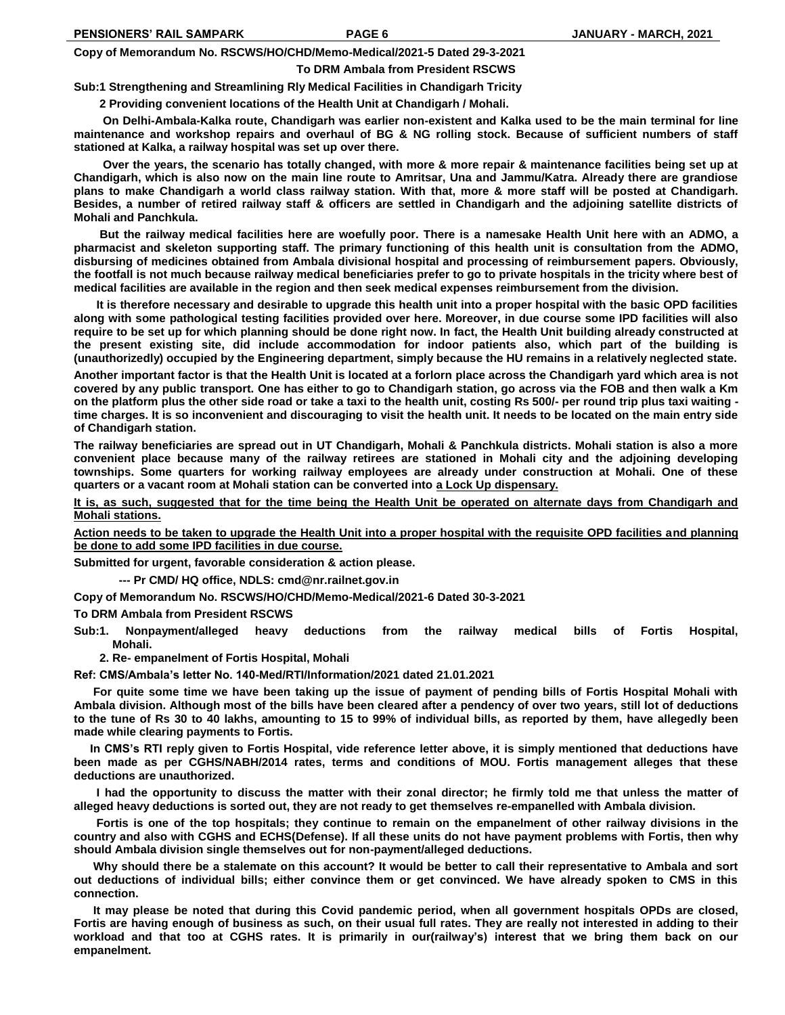**Copy of Memorandum No. RSCWS/HO/CHD/Memo-Medical/2021-5 Dated 29-3-2021**

#### **To DRM Ambala from President RSCWS**

**Sub:1 Strengthening and Streamlining Rly Medical Facilities in Chandigarh Tricity**

 **2 Providing convenient locations of the Health Unit at Chandigarh / Mohali.**

 **On Delhi-Ambala-Kalka route, Chandigarh was earlier non-existent and Kalka used to be the main terminal for line maintenance and workshop repairs and overhaul of BG & NG rolling stock. Because of sufficient numbers of staff stationed at Kalka, a railway hospital was set up over there.**

 **Over the years, the scenario has totally changed, with more & more repair & maintenance facilities being set up at Chandigarh, which is also now on the main line route to Amritsar, Una and Jammu/Katra. Already there are grandiose plans to make Chandigarh a world class railway station. With that, more & more staff will be posted at Chandigarh. Besides, a number of retired railway staff & officers are settled in Chandigarh and the adjoining satellite districts of Mohali and Panchkula.**

 **But the railway medical facilities here are woefully poor. There is a namesake Health Unit here with an ADMO, a pharmacist and skeleton supporting staff. The primary functioning of this health unit is consultation from the ADMO, disbursing of medicines obtained from Ambala divisional hospital and processing of reimbursement papers. Obviously, the footfall is not much because railway medical beneficiaries prefer to go to private hospitals in the tricity where best of medical facilities are available in the region and then seek medical expenses reimbursement from the division.**

 **It is therefore necessary and desirable to upgrade this health unit into a proper hospital with the basic OPD facilities along with some pathological testing facilities provided over here. Moreover, in due course some IPD facilities will also require to be set up for which planning should be done right now. In fact, the Health Unit building already constructed at the present existing site, did include accommodation for indoor patients also, which part of the building is (unauthorizedly) occupied by the Engineering department, simply because the HU remains in a relatively neglected state.**

**Another important factor is that the Health Unit is located at a forlorn place across the Chandigarh yard which area is not covered by any public transport. One has either to go to Chandigarh station, go across via the FOB and then walk a Km on the platform plus the other side road or take a taxi to the health unit, costing Rs 500/- per round trip plus taxi waiting time charges. It is so inconvenient and discouraging to visit the health unit. It needs to be located on the main entry side of Chandigarh station.**

**The railway beneficiaries are spread out in UT Chandigarh, Mohali & Panchkula districts. Mohali station is also a more convenient place because many of the railway retirees are stationed in Mohali city and the adjoining developing townships. Some quarters for working railway employees are already under construction at Mohali. One of these quarters or a vacant room at Mohali station can be converted into a Lock Up dispensary.**

**It is, as such, suggested that for the time being the Health Unit be operated on alternate days from Chandigarh and Mohali stations.**

**Action needs to be taken to upgrade the Health Unit into a proper hospital with the requisite OPD facilities and planning be done to add some IPD facilities in due course.**

**Submitted for urgent, favorable consideration & action please.**

 **--- Pr CMD/ HQ office, NDLS: cmd@nr.railnet.gov.in**

**Copy of Memorandum No. RSCWS/HO/CHD/Memo-Medical/2021-6 Dated 30-3-2021** 

**To DRM Ambala from President RSCWS**

**Sub:1. Nonpayment/alleged heavy deductions from the railway medical bills of Fortis Hospital, Mohali.** 

 **2. Re- empanelment of Fortis Hospital, Mohali**

**Ref: CMS/Ambala"s letter No. 140-Med/RTI/Information/2021 dated 21.01.2021**

 **For quite some time we have been taking up the issue of payment of pending bills of Fortis Hospital Mohali with Ambala division. Although most of the bills have been cleared after a pendency of over two years, still lot of deductions to the tune of Rs 30 to 40 lakhs, amounting to 15 to 99% of individual bills, as reported by them, have allegedly been made while clearing payments to Fortis.**

 **In CMS"s RTI reply given to Fortis Hospital, vide reference letter above, it is simply mentioned that deductions have been made as per CGHS/NABH/2014 rates, terms and conditions of MOU. Fortis management alleges that these deductions are unauthorized.**

 **I had the opportunity to discuss the matter with their zonal director; he firmly told me that unless the matter of alleged heavy deductions is sorted out, they are not ready to get themselves re-empanelled with Ambala division.**

 **Fortis is one of the top hospitals; they continue to remain on the empanelment of other railway divisions in the country and also with CGHS and ECHS(Defense). If all these units do not have payment problems with Fortis, then why should Ambala division single themselves out for non-payment/alleged deductions.** 

 **Why should there be a stalemate on this account? It would be better to call their representative to Ambala and sort out deductions of individual bills; either convince them or get convinced. We have already spoken to CMS in this connection.**

 **It may please be noted that during this Covid pandemic period, when all government hospitals OPDs are closed, Fortis are having enough of business as such, on their usual full rates. They are really not interested in adding to their workload and that too at CGHS rates. It is primarily in our(railway"s) interest that we bring them back on our empanelment.**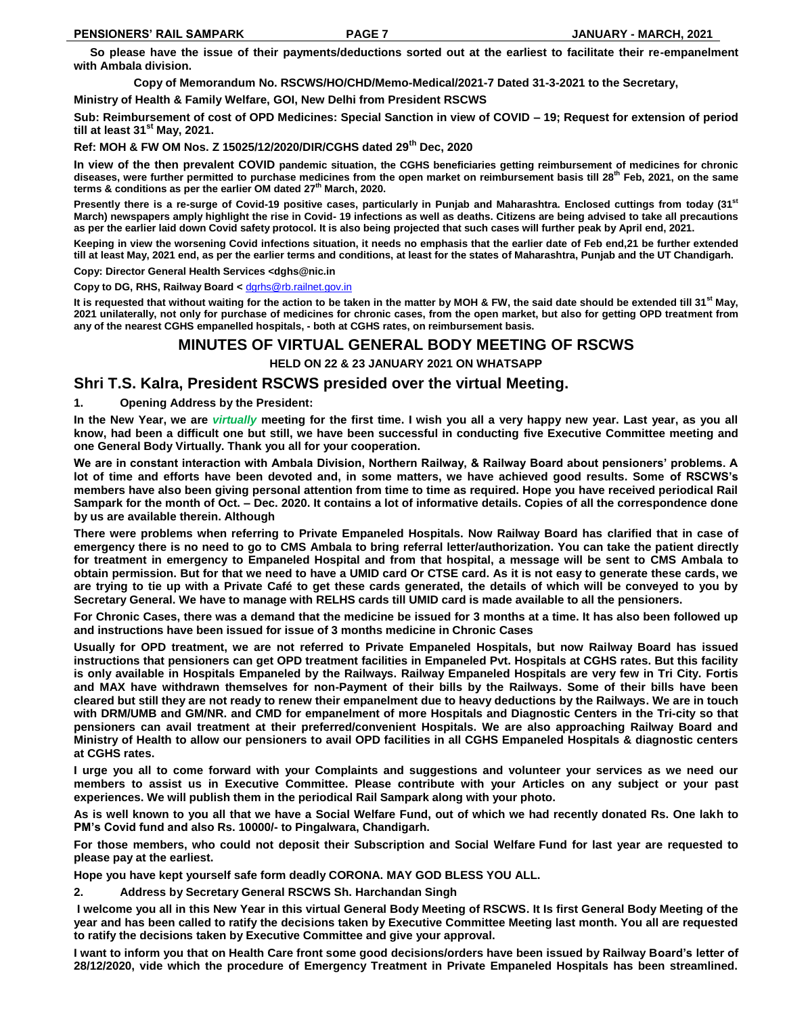**So please have the issue of their payments/deductions sorted out at the earliest to facilitate their re-empanelment with Ambala division.**

**Copy of Memorandum No. RSCWS/HO/CHD/Memo-Medical/2021-7 Dated 31-3-2021 to the Secretary,**

#### **Ministry of Health & Family Welfare, GOI, New Delhi from President RSCWS**

**Sub: Reimbursement of cost of OPD Medicines: Special Sanction in view of COVID – 19; Request for extension of period till at least 31st May, 2021.**

**Ref: MOH & FW OM Nos. Z 15025/12/2020/DIR/CGHS dated 29th Dec, 2020**

**In view of the then prevalent COVID pandemic situation, the CGHS beneficiaries getting reimbursement of medicines for chronic diseases, were further permitted to purchase medicines from the open market on reimbursement basis till 28th Feb, 2021, on the same terms & conditions as per the earlier OM dated 27th March, 2020.**

**Presently there is a re-surge of Covid-19 positive cases, particularly in Punjab and Maharashtra. Enclosed cuttings from today (31st March) newspapers amply highlight the rise in Covid- 19 infections as well as deaths. Citizens are being advised to take all precautions as per the earlier laid down Covid safety protocol. It is also being projected that such cases will further peak by April end, 2021.**

**Keeping in view the worsening Covid infections situation, it needs no emphasis that the earlier date of Feb end,21 be further extended till at least May, 2021 end, as per the earlier terms and conditions, at least for the states of Maharashtra, Punjab and the UT Chandigarh.**

**Copy: Director General Health Services <dghs@nic.in**

**Copy to DG, RHS, Railway Board <** [dgrhs@rb.railnet.gov.in](mailto:dgrhs@rb.railnet.gov.in)

**It is requested that without waiting for the action to be taken in the matter by MOH & FW, the said date should be extended till 31st May, 2021 unilaterally, not only for purchase of medicines for chronic cases, from the open market, but also for getting OPD treatment from any of the nearest CGHS empanelled hospitals, - both at CGHS rates, on reimbursement basis.**

#### **MINUTES OF VIRTUAL GENERAL BODY MEETING OF RSCWS**

#### **HELD ON 22 & 23 JANUARY 2021 ON WHATSAPP**

#### **Shri T.S. Kalra, President RSCWS presided over the virtual Meeting.**

#### **1. Opening Address by the President:**

**In the New Year, we are** *virtually* **meeting for the first time. I wish you all a very happy new year. Last year, as you all know, had been a difficult one but still, we have been successful in conducting five Executive Committee meeting and one General Body Virtually. Thank you all for your cooperation.** 

**We are in constant interaction with Ambala Division, Northern Railway, & Railway Board about pensioners" problems. A lot of time and efforts have been devoted and, in some matters, we have achieved good results. Some of RSCWS"s members have also been giving personal attention from time to time as required. Hope you have received periodical Rail Sampark for the month of Oct. – Dec. 2020. It contains a lot of informative details. Copies of all the correspondence done by us are available therein. Although**

**There were problems when referring to Private Empaneled Hospitals. Now Railway Board has clarified that in case of emergency there is no need to go to CMS Ambala to bring referral letter/authorization. You can take the patient directly for treatment in emergency to Empaneled Hospital and from that hospital, a message will be sent to CMS Ambala to obtain permission. But for that we need to have a UMID card Or CTSE card. As it is not easy to generate these cards, we are trying to tie up with a Private Café to get these cards generated, the details of which will be conveyed to you by Secretary General. We have to manage with RELHS cards till UMID card is made available to all the pensioners.**

**For Chronic Cases, there was a demand that the medicine be issued for 3 months at a time. It has also been followed up and instructions have been issued for issue of 3 months medicine in Chronic Cases**

**Usually for OPD treatment, we are not referred to Private Empaneled Hospitals, but now Railway Board has issued instructions that pensioners can get OPD treatment facilities in Empaneled Pvt. Hospitals at CGHS rates. But this facility is only available in Hospitals Empaneled by the Railways. Railway Empaneled Hospitals are very few in Tri City. Fortis and MAX have withdrawn themselves for non-Payment of their bills by the Railways. Some of their bills have been cleared but still they are not ready to renew their empanelment due to heavy deductions by the Railways. We are in touch with DRM/UMB and GM/NR. and CMD for empanelment of more Hospitals and Diagnostic Centers in the Tri-city so that pensioners can avail treatment at their preferred/convenient Hospitals. We are also approaching Railway Board and Ministry of Health to allow our pensioners to avail OPD facilities in all CGHS Empaneled Hospitals & diagnostic centers at CGHS rates.**

**I urge you all to come forward with your Complaints and suggestions and volunteer your services as we need our members to assist us in Executive Committee. Please contribute with your Articles on any subject or your past experiences. We will publish them in the periodical Rail Sampark along with your photo.**

**As is well known to you all that we have a Social Welfare Fund, out of which we had recently donated Rs. One lakh to PM"s Covid fund and also Rs. 10000/- to Pingalwara, Chandigarh.** 

**For those members, who could not deposit their Subscription and Social Welfare Fund for last year are requested to please pay at the earliest.**

**Hope you have kept yourself safe form deadly CORONA. MAY GOD BLESS YOU ALL.**

**2. Address by Secretary General RSCWS Sh. Harchandan Singh**

**I welcome you all in this New Year in this virtual General Body Meeting of RSCWS. It Is first General Body Meeting of the year and has been called to ratify the decisions taken by Executive Committee Meeting last month. You all are requested to ratify the decisions taken by Executive Committee and give your approval.**

**I want to inform you that on Health Care front some good decisions/orders have been issued by Railway Board"s letter of 28/12/2020, vide which the procedure of Emergency Treatment in Private Empaneled Hospitals has been streamlined.**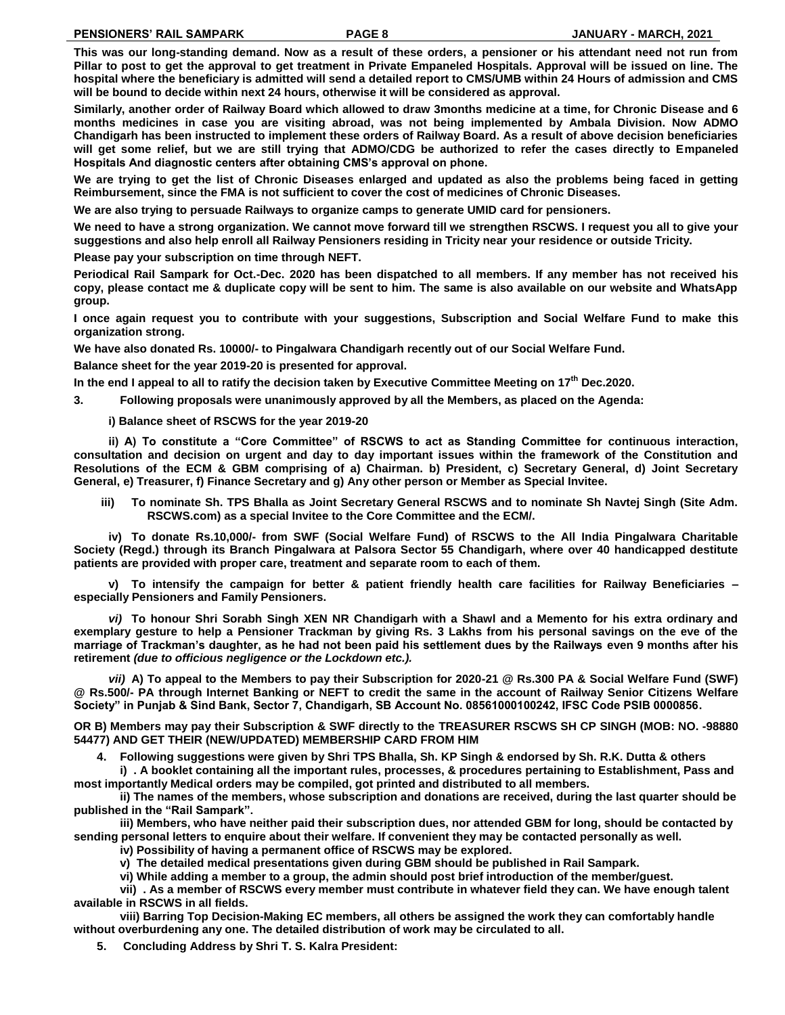**This was our long-standing demand. Now as a result of these orders, a pensioner or his attendant need not run from Pillar to post to get the approval to get treatment in Private Empaneled Hospitals. Approval will be issued on line. The hospital where the beneficiary is admitted will send a detailed report to CMS/UMB within 24 Hours of admission and CMS will be bound to decide within next 24 hours, otherwise it will be considered as approval.**

**Similarly, another order of Railway Board which allowed to draw 3months medicine at a time, for Chronic Disease and 6 months medicines in case you are visiting abroad, was not being implemented by Ambala Division. Now ADMO Chandigarh has been instructed to implement these orders of Railway Board. As a result of above decision beneficiaries will get some relief, but we are still trying that ADMO/CDG be authorized to refer the cases directly to Empaneled Hospitals And diagnostic centers after obtaining CMS"s approval on phone.**

**We are trying to get the list of Chronic Diseases enlarged and updated as also the problems being faced in getting Reimbursement, since the FMA is not sufficient to cover the cost of medicines of Chronic Diseases.**

**We are also trying to persuade Railways to organize camps to generate UMID card for pensioners.**

**We need to have a strong organization. We cannot move forward till we strengthen RSCWS. I request you all to give your suggestions and also help enroll all Railway Pensioners residing in Tricity near your residence or outside Tricity.**

**Please pay your subscription on time through NEFT.**

**Periodical Rail Sampark for Oct.-Dec. 2020 has been dispatched to all members. If any member has not received his copy, please contact me & duplicate copy will be sent to him. The same is also available on our website and WhatsApp group.**

**I once again request you to contribute with your suggestions, Subscription and Social Welfare Fund to make this organization strong.**

**We have also donated Rs. 10000/- to Pingalwara Chandigarh recently out of our Social Welfare Fund.**

**Balance sheet for the year 2019-20 is presented for approval.**

**In the end I appeal to all to ratify the decision taken by Executive Committee Meeting on 17th Dec.2020.**

**3. Following proposals were unanimously approved by all the Members, as placed on the Agenda:**

**i) Balance sheet of RSCWS for the year 2019-20**

**ii) A) To constitute a "Core Committee" of RSCWS to act as Standing Committee for continuous interaction, consultation and decision on urgent and day to day important issues within the framework of the Constitution and Resolutions of the ECM & GBM comprising of a) Chairman. b) President, c) Secretary General, d) Joint Secretary General, e) Treasurer, f) Finance Secretary and g) Any other person or Member as Special Invitee.**

**iii) To nominate Sh. TPS Bhalla as Joint Secretary General RSCWS and to nominate Sh Navtej Singh (Site Adm. RSCWS.com) as a special Invitee to the Core Committee and the ECM/.**

**iv) To donate Rs.10,000/- from SWF (Social Welfare Fund) of RSCWS to the All India Pingalwara Charitable Society (Regd.) through its Branch Pingalwara at Palsora Sector 55 Chandigarh, where over 40 handicapped destitute patients are provided with proper care, treatment and separate room to each of them.**

**v) To intensify the campaign for better & patient friendly health care facilities for Railway Beneficiaries – especially Pensioners and Family Pensioners.** 

*vi)* **To honour Shri Sorabh Singh XEN NR Chandigarh with a Shawl and a Memento for his extra ordinary and exemplary gesture to help a Pensioner Trackman by giving Rs. 3 Lakhs from his personal savings on the eve of the marriage of Trackman"s daughter, as he had not been paid his settlement dues by the Railways even 9 months after his retirement** *(due to officious negligence or the Lockdown etc.).*

*vii)* **A) To appeal to the Members to pay their Subscription for 2020-21 @ Rs.300 PA & Social Welfare Fund (SWF) @ Rs.500/- PA through Internet Banking or NEFT to credit the same in the account of Railway Senior Citizens Welfare Society" in Punjab & Sind Bank, Sector 7, Chandigarh, SB Account No. 08561000100242, IFSC Code PSIB 0000856.** 

**OR B) Members may pay their Subscription & SWF directly to the TREASURER RSCWS SH CP SINGH (MOB: NO. -98880 54477) AND GET THEIR (NEW/UPDATED) MEMBERSHIP CARD FROM HIM**

**4. Following suggestions were given by Shri TPS Bhalla, Sh. KP Singh & endorsed by Sh. R.K. Dutta & others**

**i) . A booklet containing all the important rules, processes, & procedures pertaining to Establishment, Pass and most importantly Medical orders may be compiled, got printed and distributed to all members.**

**ii) The names of the members, whose subscription and donations are received, during the last quarter should be published in the "Rail Sampark".**

**iii) Members, who have neither paid their subscription dues, nor attended GBM for long, should be contacted by sending personal letters to enquire about their welfare. If convenient they may be contacted personally as well.**

**iv) Possibility of having a permanent office of RSCWS may be explored.**

**v) The detailed medical presentations given during GBM should be published in Rail Sampark.**

**vi) While adding a member to a group, the admin should post brief introduction of the member/guest.**

**vii) . As a member of RSCWS every member must contribute in whatever field they can. We have enough talent available in RSCWS in all fields.** 

**viii) Barring Top Decision-Making EC members, all others be assigned the work they can comfortably handle without overburdening any one. The detailed distribution of work may be circulated to all.**

**5. Concluding Address by Shri T. S. Kalra President:**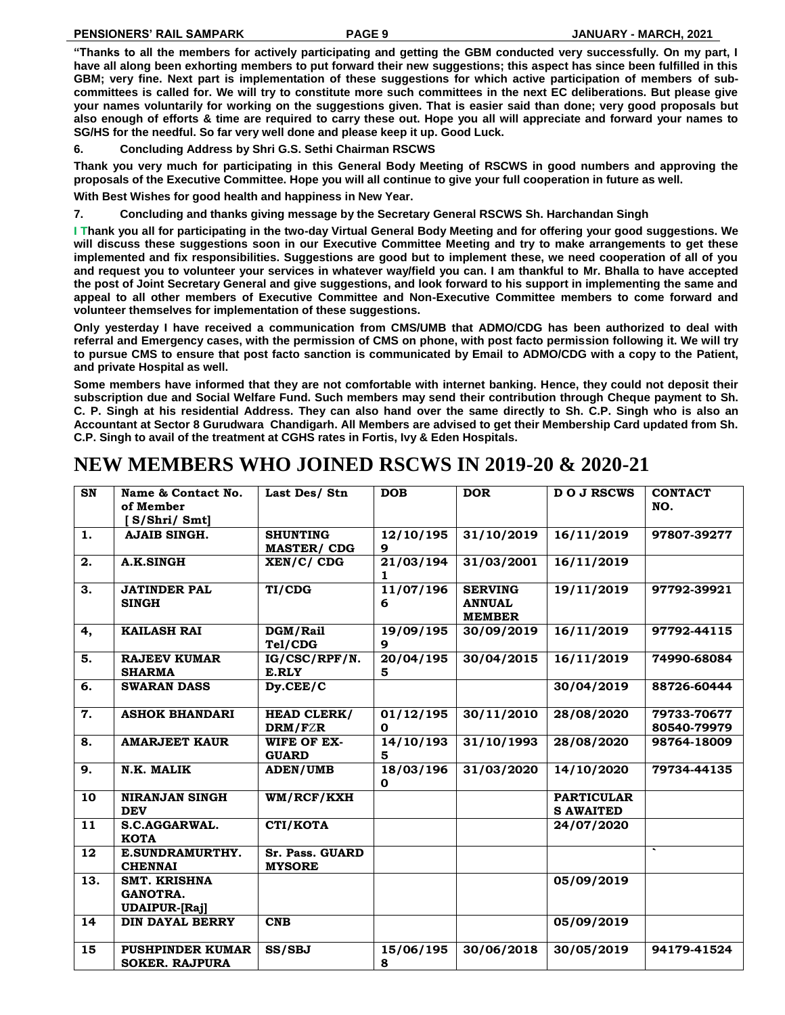**"Thanks to all the members for actively participating and getting the GBM conducted very successfully. On my part, I have all along been exhorting members to put forward their new suggestions; this aspect has since been fulfilled in this GBM; very fine. Next part is implementation of these suggestions for which active participation of members of subcommittees is called for. We will try to constitute more such committees in the next EC deliberations. But please give your names voluntarily for working on the suggestions given. That is easier said than done; very good proposals but also enough of efforts & time are required to carry these out. Hope you all will appreciate and forward your names to SG/HS for the needful. So far very well done and please keep it up. Good Luck.**

**6. Concluding Address by Shri G.S. Sethi Chairman RSCWS**

**Thank you very much for participating in this General Body Meeting of RSCWS in good numbers and approving the proposals of the Executive Committee. Hope you will all continue to give your full cooperation in future as well.** 

**With Best Wishes for good health and happiness in New Year.**

**7. Concluding and thanks giving message by the Secretary General RSCWS Sh. Harchandan Singh**

**I Thank you all for participating in the two-day Virtual General Body Meeting and for offering your good suggestions. We will discuss these suggestions soon in our Executive Committee Meeting and try to make arrangements to get these implemented and fix responsibilities. Suggestions are good but to implement these, we need cooperation of all of you and request you to volunteer your services in whatever way/field you can. I am thankful to Mr. Bhalla to have accepted the post of Joint Secretary General and give suggestions, and look forward to his support in implementing the same and appeal to all other members of Executive Committee and Non-Executive Committee members to come forward and volunteer themselves for implementation of these suggestions.**

**Only yesterday I have received a communication from CMS/UMB that ADMO/CDG has been authorized to deal with referral and Emergency cases, with the permission of CMS on phone, with post facto permission following it. We will try to pursue CMS to ensure that post facto sanction is communicated by Email to ADMO/CDG with a copy to the Patient, and private Hospital as well.**

**Some members have informed that they are not comfortable with internet banking. Hence, they could not deposit their subscription due and Social Welfare Fund. Such members may send their contribution through Cheque payment to Sh. C. P. Singh at his residential Address. They can also hand over the same directly to Sh. C.P. Singh who is also an Accountant at Sector 8 Gurudwara Chandigarh. All Members are advised to get their Membership Card updated from Sh. C.P. Singh to avail of the treatment at CGHS rates in Fortis, Ivy & Eden Hospitals.**

## **NEW MEMBERS WHO JOINED RSCWS IN 2019-20 & 2020-21**

| SN  | Name & Contact No.<br>of Member<br>S/Shri/ Smt]                | Last Des/ Stn                        | <b>DOB</b>               | <b>DOR</b>                                       | <b>DOJ RSCWS</b>                      | <b>CONTACT</b><br>NO.      |
|-----|----------------------------------------------------------------|--------------------------------------|--------------------------|--------------------------------------------------|---------------------------------------|----------------------------|
| 1.  | <b>AJAIB SINGH.</b>                                            | <b>SHUNTING</b><br><b>MASTER/CDG</b> | 12/10/195<br>9           | 31/10/2019                                       | 16/11/2019                            | 97807-39277                |
| 2.  | <b>A.K.SINGH</b>                                               | XEN/C/CDC                            | 21/03/194                | 31/03/2001                                       | 16/11/2019                            |                            |
| 3.  | <b>JATINDER PAL</b><br><b>SINGH</b>                            | TI/CDG                               | 11/07/196<br>6           | <b>SERVING</b><br><b>ANNUAL</b><br><b>MEMBER</b> | 19/11/2019                            | 97792-39921                |
| 4,  | <b>KAILASH RAI</b>                                             | DGM/Rail<br>Tel/CDG                  | 19/09/195<br>9           | 30/09/2019                                       | 16/11/2019                            | 97792-44115                |
| 5.  | <b>RAJEEV KUMAR</b><br><b>SHARMA</b>                           | IG/CSC/RPF/N.<br>E.RLY               | 20/04/195<br>5           | 30/04/2015                                       | 16/11/2019                            | 74990-68084                |
| 6.  | <b>SWARAN DASS</b>                                             | Dy.CEE/C                             |                          |                                                  | 30/04/2019                            | 88726-60444                |
| 7.  | <b>ASHOK BHANDARI</b>                                          | <b>HEAD CLERK/</b><br>DRM/FZR        | 01/12/195<br>$\Omega$    | 30/11/2010                                       | 28/08/2020                            | 79733-70677<br>80540-79979 |
| 8.  | <b>AMARJEET KAUR</b>                                           | WIFE OF EX-<br><b>GUARD</b>          | 14/10/193<br>5           | 31/10/1993                                       | 28/08/2020                            | 98764-18009                |
| 9.  | N.K. MALIK                                                     | <b>ADEN/UMB</b>                      | 18/03/196<br>$\mathbf 0$ | 31/03/2020                                       | 14/10/2020                            | 79734-44135                |
| 10  | <b>NIRANJAN SINGH</b><br><b>DEV</b>                            | WM/RCF/KXH                           |                          |                                                  | <b>PARTICULAR</b><br><b>S AWAITED</b> |                            |
| 11  | S.C.AGGARWAL.<br><b>KOTA</b>                                   | CTI/KOTA                             |                          |                                                  | 24/07/2020                            |                            |
| 12  | <b>E.SUNDRAMURTHY.</b><br><b>CHENNAI</b>                       | Sr. Pass. GUARD<br><b>MYSORE</b>     |                          |                                                  |                                       |                            |
| 13. | <b>SMT. KRISHNA</b><br><b>GANOTRA.</b><br><b>UDAIPUR-[Raj]</b> |                                      |                          |                                                  | 05/09/2019                            |                            |
| 14  | <b>DIN DAYAL BERRY</b>                                         | <b>CNB</b>                           |                          |                                                  | 05/09/2019                            |                            |
| 15  | <b>PUSHPINDER KUMAR</b><br><b>SOKER. RAJPURA</b>               | SS/SBJ                               | 15/06/195<br>8           | 30/06/2018                                       | 30/05/2019                            | 94179-41524                |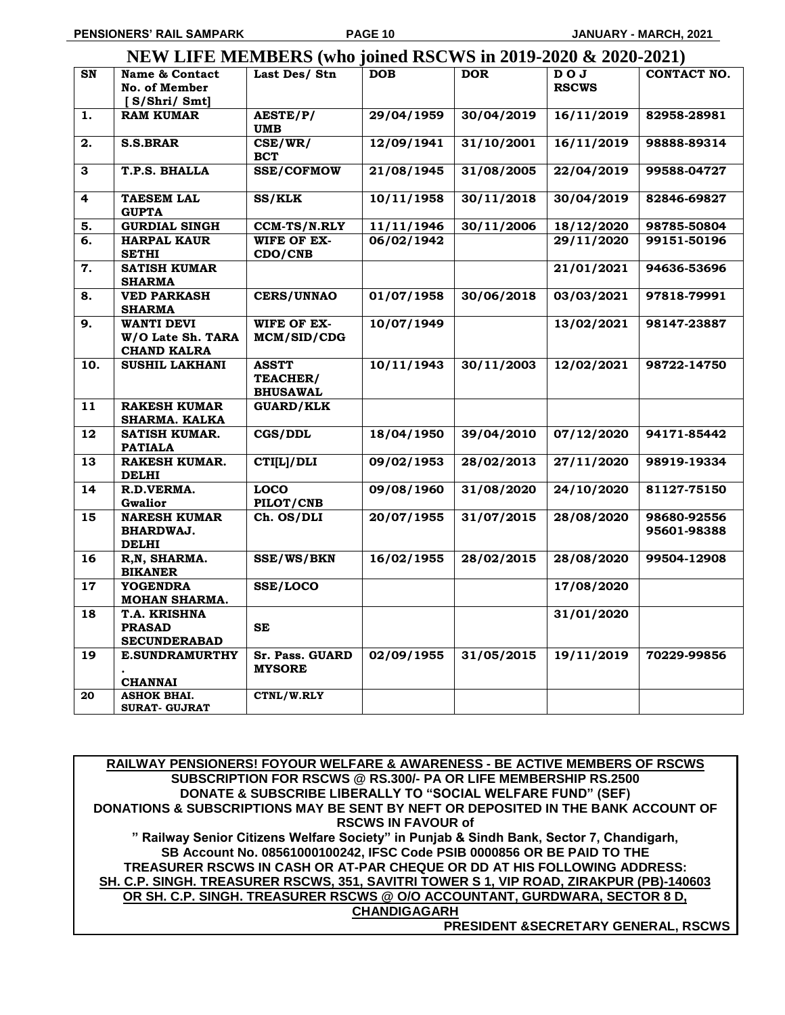**PENSIONERS" RAIL SAMPARK PAGE 10 JANUARY - MARCH, 2021**

|                   | NEW LIFE MEMBERS (who joined RSCWS in 2019-2020 & 2020-2021) |                                             |            |            |                     |                            |
|-------------------|--------------------------------------------------------------|---------------------------------------------|------------|------------|---------------------|----------------------------|
| SN                | Name & Contact<br><b>No. of Member</b><br>[S/Shri/ Smt]      | Last Des/ Stn                               | <b>DOB</b> | <b>DOR</b> | DOJ<br><b>RSCWS</b> | CONTACT NO.                |
| 1.                | <b>RAM KUMAR</b>                                             | AESTE/P/<br><b>UMB</b>                      | 29/04/1959 | 30/04/2019 | 16/11/2019          | 82958-28981                |
| 2.                | <b>S.S.BRAR</b>                                              | CSE/WR/<br><b>BCT</b>                       | 12/09/1941 | 31/10/2001 | 16/11/2019          | 98888-89314                |
| 3                 | T.P.S. BHALLA                                                | <b>SSE/COFMOW</b>                           | 21/08/1945 | 31/08/2005 | 22/04/2019          | 99588-04727                |
| 4                 | <b>TAESEM LAL</b><br><b>GUPTA</b>                            | <b>SS/KLK</b>                               | 10/11/1958 | 30/11/2018 | 30/04/2019          | 82846-69827                |
| 5.                | <b>GURDIAL SINGH</b>                                         | CCM-TS/N.RLY                                | 11/11/1946 | 30/11/2006 | 18/12/2020          | 98785-50804                |
| 6.                | <b>HARPAL KAUR</b><br><b>SETHI</b>                           | WIFE OF EX-<br>CDO/CNB                      | 06/02/1942 |            | 29/11/2020          | 99151-50196                |
| 7.                | <b>SATISH KUMAR</b><br><b>SHARMA</b>                         |                                             |            |            | 21/01/2021          | 94636-53696                |
| 8.                | <b>VED PARKASH</b><br><b>SHARMA</b>                          | <b>CERS/UNNAO</b>                           | 01/07/1958 | 30/06/2018 | 03/03/2021          | 97818-79991                |
| $\overline{9}$ .  | <b>WANTI DEVI</b><br>W/O Late Sh. TARA<br><b>CHAND KALRA</b> | WIFE OF EX-<br>MCM/SID/CDG                  | 10/07/1949 |            | 13/02/2021          | 98147-23887                |
| $\overline{10}$ . | <b>SUSHIL LAKHANI</b>                                        | <b>ASSTT</b><br>TEACHER/<br><b>BHUSAWAL</b> | 10/11/1943 | 30/11/2003 | 12/02/2021          | 98722-14750                |
| 11                | <b>RAKESH KUMAR</b><br><b>SHARMA. KALKA</b>                  | <b>GUARD/KLK</b>                            |            |            |                     |                            |
| 12                | <b>SATISH KUMAR.</b><br><b>PATIALA</b>                       | <b>CGS/DDL</b>                              | 18/04/1950 | 39/04/2010 | 07/12/2020          | 94171-85442                |
| 13                | <b>RAKESH KUMAR.</b><br><b>DELHI</b>                         | CTI[L]/DLI                                  | 09/02/1953 | 28/02/2013 | 27/11/2020          | 98919-19334                |
| 14                | R.D.VERMA.<br>Gwalior                                        | <b>LOCO</b><br>PILOT/CNB                    | 09/08/1960 | 31/08/2020 | 24/10/2020          | 81127-75150                |
| 15                | <b>NARESH KUMAR</b><br><b>BHARDWAJ.</b><br><b>DELHI</b>      | Ch. OS/DLI                                  | 20/07/1955 | 31/07/2015 | 28/08/2020          | 98680-92556<br>95601-98388 |
| 16                | R, N, SHARMA.<br><b>BIKANER</b>                              | <b>SSE/WS/BKN</b>                           | 16/02/1955 | 28/02/2015 | 28/08/2020          | 99504-12908                |
| 17                | <b>YOGENDRA</b><br><b>MOHAN SHARMA.</b>                      | <b>SSE/LOCO</b>                             |            |            | 17/08/2020          |                            |
| 18                | <b>T.A. KRISHNA</b><br><b>PRASAD</b><br><b>SECUNDERABAD</b>  | SE                                          |            |            | 31/01/2020          |                            |
| 19                | <b>E.SUNDRAMURTHY</b><br><b>CHANNAI</b>                      | Sr. Pass. GUARD<br><b>MYSORE</b>            | 02/09/1955 | 31/05/2015 | 19/11/2019          | 70229-99856                |
| 20                | <b>ASHOK BHAI.</b><br><b>SURAT- GUJRAT</b>                   | CTNL/W.RLY                                  |            |            |                     |                            |

**RAILWAY PENSIONERS! FOYOUR WELFARE & AWARENESS - BE ACTIVE MEMBERS OF RSCWS SUBSCRIPTION FOR RSCWS @ RS.300/- PA OR LIFE MEMBERSHIP RS.2500 DONATE & SUBSCRIBE LIBERALLY TO "SOCIAL WELFARE FUND" (SEF) DONATIONS & SUBSCRIPTIONS MAY BE SENT BY NEFT OR DEPOSITED IN THE BANK ACCOUNT OF RSCWS IN FAVOUR of " Railway Senior Citizens Welfare Society" in Punjab & Sindh Bank, Sector 7, Chandigarh, SB Account No. 08561000100242, IFSC Code PSIB 0000856 OR BE PAID TO THE TREASURER RSCWS IN CASH OR AT-PAR CHEQUE OR DD AT HIS FOLLOWING ADDRESS: SH. C.P. SINGH. TREASURER RSCWS, 351, SAVITRI TOWER S 1, VIP ROAD, ZIRAKPUR (PB)-140603 OR SH. C.P. SINGH. TREASURER RSCWS @ O/O ACCOUNTANT, GURDWARA, SECTOR 8 D, CHANDIGAGARH PRESIDENT &SECRETARY GENERAL, RSCWS**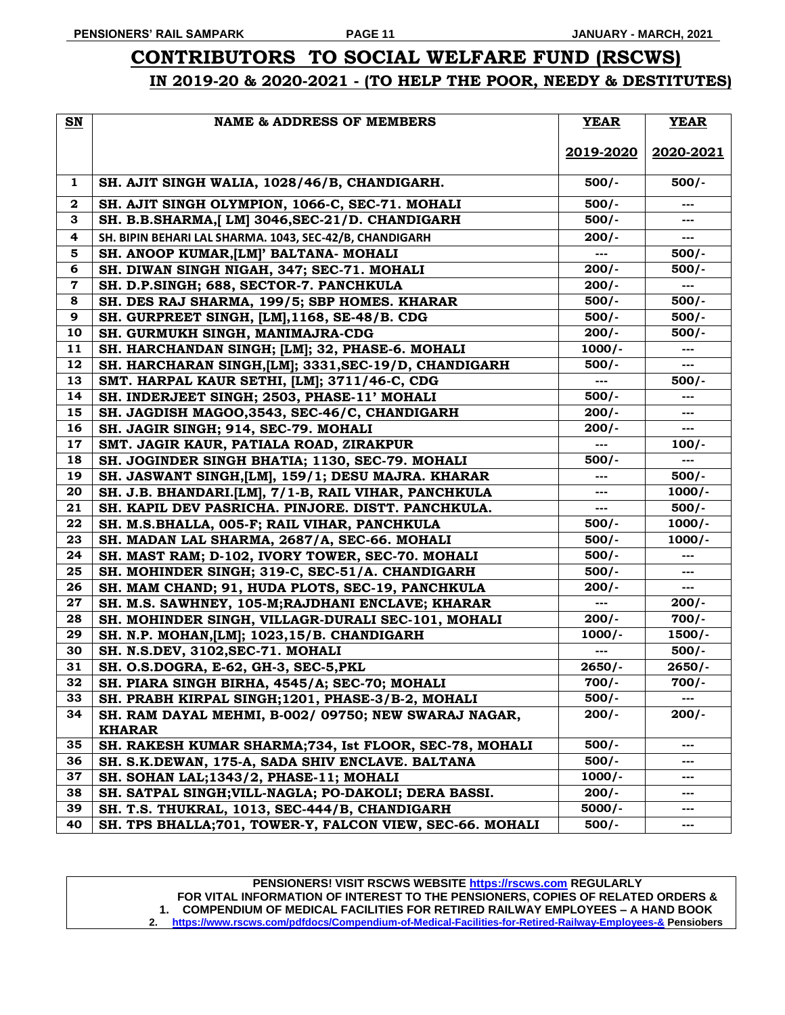### **CONTRIBUTORS TO SOCIAL WELFARE FUND (RSCWS) IN 2019-20 & 2020-2021 - (TO HELP THE POOR, NEEDY & DESTITUTES)**

| SN               | <b>NAME &amp; ADDRESS OF MEMBERS</b>                     | <b>YEAR</b>            | <b>YEAR</b> |
|------------------|----------------------------------------------------------|------------------------|-------------|
|                  |                                                          | 2019-2020              | 2020-2021   |
| 1                | SH. AJIT SINGH WALIA, 1028/46/B, CHANDIGARH.             | $500/-$                | $500/-$     |
| $\mathbf 2$      | SH. AJIT SINGH OLYMPION, 1066-C, SEC-71. MOHALI          | $500/-$                |             |
| 3                | SH. B.B.SHARMA, [LM] 3046, SEC-21/D. CHANDIGARH          | $500/-$                |             |
| 4                | SH. BIPIN BEHARI LAL SHARMA. 1043, SEC-42/B, CHANDIGARH  | $200/-$                | ---         |
| 5                | SH. ANOOP KUMAR, [LM]' BALTANA- MOHALI                   | $\qquad \qquad \cdots$ | $500/-$     |
| 6                | SH. DIWAN SINGH NIGAH, 347; SEC-71. MOHALI               | $200/-$                | $500/-$     |
| $\boldsymbol{7}$ | SH. D.P.SINGH; 688, SECTOR-7. PANCHKULA                  | $200/-$                | $---$       |
| 8                | SH. DES RAJ SHARMA, 199/5; SBP HOMES. KHARAR             | $500/-$                | $500/-$     |
| 9                | SH. GURPREET SINGH, [LM], 1168, SE-48/B. CDG             | $500/-$                | $500/-$     |
| 10               | SH. GURMUKH SINGH, MANIMAJRA-CDG                         | $200/-$                | $500/-$     |
| 11               | SH. HARCHANDAN SINGH; [LM]; 32, PHASE-6. MOHALI          | $1000/-$               | ---         |
| 12               | SH. HARCHARAN SINGH, [LM]; 3331, SEC-19/D, CHANDIGARH    | $500/-$                | $---$       |
| 13               | SMT. HARPAL KAUR SETHI, [LM]; 3711/46-C, CDG             | $---$                  | $500/-$     |
| 14               | SH. INDERJEET SINGH; 2503, PHASE-11' MOHALI              | $500/-$                |             |
| 15               | SH. JAGDISH MAGOO, 3543, SEC-46/C, CHANDIGARH            | $200/-$                |             |
| 16               | SH. JAGIR SINGH; 914, SEC-79. MOHALI                     | $200/-$                | ---         |
| 17               | SMT. JAGIR KAUR, PATIALA ROAD, ZIRAKPUR                  | ---                    | $100/-$     |
| 18               | SH. JOGINDER SINGH BHATIA; 1130, SEC-79. MOHALI          | $500/-$                | ---         |
| 19               | SH. JASWANT SINGH, [LM], 159/1; DESU MAJRA. KHARAR       | ---                    | $500/-$     |
| 20               | SH. J.B. BHANDARI.[LM], 7/1-B, RAIL VIHAR, PANCHKULA     | ---                    | $1000/-$    |
| 21               | SH. KAPIL DEV PASRICHA. PINJORE. DISTT. PANCHKULA.       | ---                    | $500/-$     |
| 22               | SH. M.S.BHALLA, 005-F; RAIL VIHAR, PANCHKULA             | $500/-$                | $1000/-$    |
| 23               | SH. MADAN LAL SHARMA, 2687/A, SEC-66. MOHALI             | $500/-$                | $1000/-$    |
| 24               | SH. MAST RAM; D-102, IVORY TOWER, SEC-70. MOHALI         | $500/-$                |             |
| 25               | SH. MOHINDER SINGH; 319-C, SEC-51/A. CHANDIGARH          | $500/-$                |             |
| 26               | SH. MAM CHAND; 91, HUDA PLOTS, SEC-19, PANCHKULA         | $200/-$                | ---         |
| $27\,$           | SH. M.S. SAWHNEY, 105-M; RAJDHANI ENCLAVE; KHARAR        | $\overline{a}$         | $200/-$     |
| 28               | SH. MOHINDER SINGH, VILLAGR-DURALI SEC-101, MOHALI       | $200/-$                | $700/-$     |
| 29               | SH. N.P. MOHAN, [LM]; 1023, 15/B. CHANDIGARH             | $1000/-$               | $1500/-$    |
| 30               | SH. N.S.DEV, 3102, SEC-71. MOHALI                        |                        | $500/-$     |
| 31               | SH. O.S.DOGRA, E-62, GH-3, SEC-5, PKL                    | $2650/-$               | $2650/-$    |
| $\overline{32}$  | SH. PIARA SINGH BIRHA, 4545/A; SEC-70; MOHALI            | $700/-$                | $700/-$     |
| 33               | SH. PRABH KIRPAL SINGH; 1201, PHASE-3/B-2, MOHALI        | $500/-$                |             |
| 34               | SH. RAM DAYAL MEHMI, B-002/ 09750; NEW SWARAJ NAGAR,     | $200/-$                | $200/-$     |
|                  | <b>KHARAR</b>                                            |                        |             |
| 35               | SH. RAKESH KUMAR SHARMA; 734, Ist FLOOR, SEC-78, MOHALI  | $500/-$                | ---         |
| 36               | SH. S.K.DEWAN, 175-A, SADA SHIV ENCLAVE. BALTANA         | $500/-$                | ---         |
| 37               | SH. SOHAN LAL;1343/2, PHASE-11; MOHALI                   | $1000/-$               | ---         |
| 38               | SH. SATPAL SINGH; VILL-NAGLA; PO-DAKOLI; DERA BASSI.     | $200/-$                | ---         |
| 39               | SH. T.S. THUKRAL, 1013, SEC-444/B, CHANDIGARH            | $5000/-$               | ---         |
| 40               | SH. TPS BHALLA;701, TOWER-Y, FALCON VIEW, SEC-66. MOHALI | $500/-$                | ---         |

**PENSIONERS! VISIT RSCWS WEBSITE [https://rscws.com](https://rscws.com/) REGULARLY FOR VITAL INFORMATION OF INTEREST TO THE PENSIONERS, COPIES OF RELATED ORDERS & 1. COMPENDIUM OF MEDICAL FACILITIES FOR RETIRED RAILWAY EMPLOYEES – A HAND BOOK 2. <https://www.rscws.com/pdfdocs/Compendium-of-Medical-Facilities-for-Retired-Railway-Employees-&> Pensiobers**